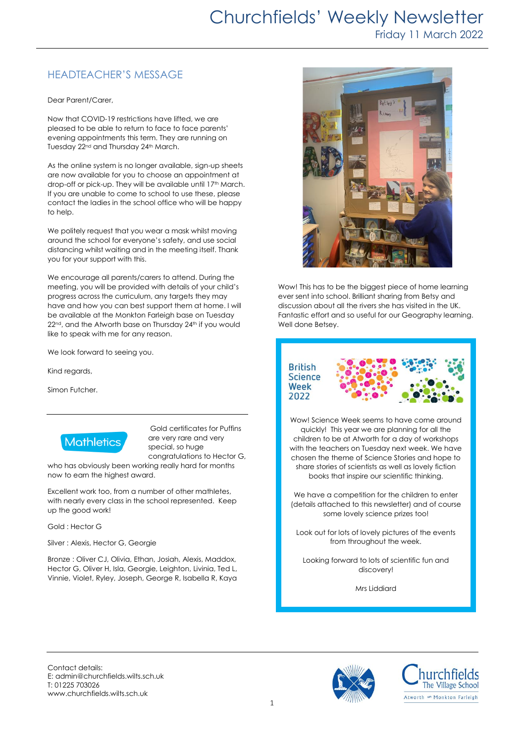## HEADTEACHER'S MESSAGE

Dear Parent/Carer,

Now that COVID-19 restrictions have lifted, we are pleased to be able to return to face to face parents' evening appointments this term. They are running on Tuesday 22<sup>nd</sup> and Thursday 24<sup>th</sup> March.

As the online system is no longer available, sign-up sheets are now available for you to choose an appointment at drop-off or pick-up. They will be available until 17<sup>th</sup> March. If you are unable to come to school to use these, please contact the ladies in the school office who will be happy to help.

We politely request that you wear a mask whilst moving around the school for everyone's safety, and use social distancing whilst waiting and in the meeting itself. Thank you for your support with this.

We encourage all parents/carers to attend. During the meeting, you will be provided with details of your child's progress across the curriculum, any targets they may have and how you can best support them at home. I will be available at the Monkton Farleigh base on Tuesday 22<sup>nd</sup>, and the Atworth base on Thursday 24<sup>th</sup> if you would like to speak with me for any reason.

We look forward to seeing you.

Kind regards,

Simon Futcher.



Gold certificates for Puffins are very rare and very special, so huge congratulations to Hector G,

who has obviously been working really hard for months now to earn the highest award.

Excellent work too, from a number of other mathletes, with nearly every class in the school represented. Keep up the good work!

Gold : Hector G

Silver : Alexis, Hector G, Georgie

Bronze : Oliver CJ, Olivia, Ethan, Josiah, Alexis, Maddox, Hector G, Oliver H, Isla, Georgie, Leighton, Livinia, Ted L, Vinnie, Violet, Ryley, Joseph, George R, Isabella R, Kaya



Wow! This has to be the biggest piece of home learning ever sent into school. Brilliant sharing from Betsy and discussion about all the rivers she has visited in the UK. Fantastic effort and so useful for our Geography learning. Well done Betsey.



Wow! Science Week seems to have come around quickly! This year we are planning for all the children to be at Atworth for a day of workshops with the teachers on Tuesday next week. We have chosen the theme of Science Stories and hope to share stories of scientists as well as lovely fiction books that inspire our scientific thinking.

We have a competition for the children to enter (details attached to this newsletter) and of course some lovely science prizes too!

Look out for lots of lovely pictures of the events from throughout the week.

Looking forward to lots of scientific fun and discovery!

Mrs Liddiard

Contact details: E: admin@churchfields.wilts.sch.uk T: 01225 703026 www.churchfields.wilts.sch.uk



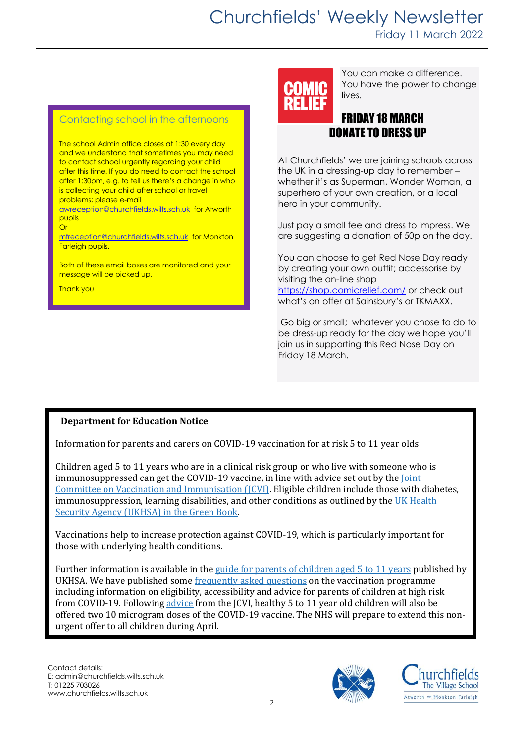#### Contacting school in the afternoons

The school Admin office closes at 1:30 every day and we understand that sometimes you may need to contact school urgently regarding your child after this time. If you do need to contact the school after 1:30pm, e.g. to tell us there's a change in who is collecting your child after school or travel problems; please e-mail

[awreception@churchfields.wilts.sch.uk](mailto:awreception@churchfields.wilts.sch.uk) for Atworth pupils **Or** 

[mfreception@churchfields.wilts.sch.uk](mailto:mfreception@churchfields.wilts.sch.uk) for Monkton Farleigh pupils.

Both of these email boxes are monitored and your message will be picked up.

Thank you

You can make a difference. You have the power to change lives.

### FRIDAY 18 MARCH DONATE TO DRESS UP

At Churchfields' we are joining schools across the UK in a dressing-up day to remember – whether it's as Superman, Wonder Woman, a superhero of your own creation, or a local hero in your community.

Just pay a small fee and dress to impress. We are suggesting a donation of 50p on the day.

You can choose to get Red Nose Day ready by creating your own outfit; accessorise by visiting the on-line shop <https://shop.comicrelief.com/> or check out what's on offer at Sainsbury's or TKMAXX.

Go big or small; whatever you chose to do to be dress-up ready for the day we hope you'll join us in supporting this Red Nose Day on Friday 18 March.

### **Department for Education Notice**

Information for parents and carers on COVID-19 vaccination for at risk 5 to 11 year olds

Children aged 5 to 11 years who are in a clinical risk group or who live with someone who is immunosuppressed can get the COVID-19 vaccine, in line with advice set out by the *Joint* [Committee on Vaccination and Immunisation \(JCVI\).](https://www.gov.uk/government/publications/priority-groups-for-coronavirus-covid-19-vaccination-advice-from-the-jcvi-30-december-2020/joint-committee-on-vaccination-and-immunisation-advice-on-priority-groups-for-covid-19-vaccination-30-december-2020?utm_source=8%20March%202022%20C19&utm_medium=Daily%20Email%20C19&utm_campaign=DfE%20C19) Eligible children include those with diabetes, immunosuppression, learning disabilities, and other conditions as outlined by the  $UK Health$ [Security Agency \(UKHSA\) in the Green Book.](https://www.gov.uk/government/publications/covid-19-the-green-book-chapter-14a?utm_source=8%20March%202022%20C19&utm_medium=Daily%20Email%20C19&utm_campaign=DfE%20C19)

Vaccinations help to increase protection against COVID-19, which is particularly important for those with underlying health conditions.

Further information is available in the [guide for parents of children aged 5 to 11 years](https://www.gov.uk/government/publications/covid-19-vaccination-resources-for-children-aged-5-to-11-years/a-guide-for-parents-of-children-aged-5-to-11-years-of-age-at-high-risk?utm_source=8%20March%202022%20C19&utm_medium=Daily%20Email%20C19&utm_campaign=DfE%20C19) published by UKHSA. We have published som[e frequently asked questions](https://educationhub.blog.gov.uk/2022/02/11/vaccinations-for-clinically-vulnerable-children-and-young-people-your-questions-answered/?utm_source=8%20March%202022%20C19&utm_medium=Daily%20Email%20C19&utm_campaign=DfE%20C19) on the vaccination programme including information on eligibility, accessibility and advice for parents of children at high risk from COVID-19. Followin[g advice](https://www.gov.uk/government/publications/jcvi-update-on-advice-for-covid-19-vaccination-of-children-aged-5-to-11/jcvi-statement-on-vaccination-of-children-aged-5-to-11-years-old?utm_source=8%20March%202022%20C19&utm_medium=Daily%20Email%20C19&utm_campaign=DfE%20C19) from the JCVI, healthy 5 to 11 year old children will also be offered two 10 microgram doses of the COVID-19 vaccine. The NHS will prepare to extend this nonurgent offer to all children during April.



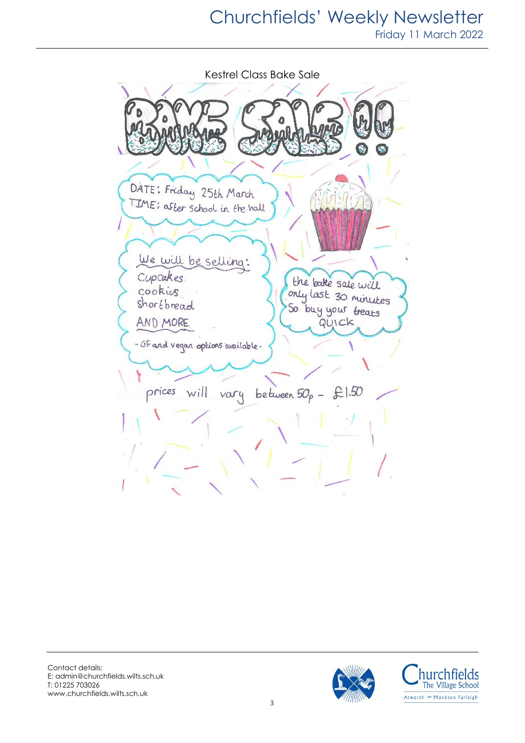# Churchfields' Weekly Newsletter Friday 11 March 2022

Kestrel Class Bake Sale DATE: Friday 25th March TIME: after school in the hall We will be selling: Cupcakes the bake sale will cookies only last 30 minutes shortbread So buy your treats AND MORE QUICK - Of and vegan options available. prices will vary between  $50<sub>p</sub> - £1.50$ 



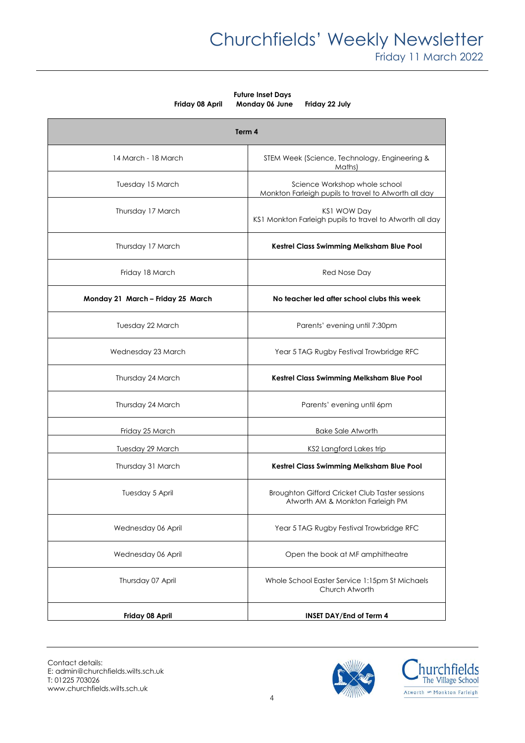**Future Inset Days Friday 08 April Monday 06 June Friday 22 July**

| Term 4                            |                                                                                       |
|-----------------------------------|---------------------------------------------------------------------------------------|
| 14 March - 18 March               | STEM Week (Science, Technology, Engineering &<br>Maths)                               |
| Tuesday 15 March                  | Science Workshop whole school<br>Monkton Farleigh pupils to travel to Atworth all day |
| Thursday 17 March                 | <b>KS1 WOW Day</b><br>KS1 Monkton Farleigh pupils to travel to Atworth all day        |
| Thursday 17 March                 | Kestrel Class Swimming Melksham Blue Pool                                             |
| Friday 18 March                   | Red Nose Day                                                                          |
| Monday 21 March - Friday 25 March | No teacher led after school clubs this week                                           |
| Tuesday 22 March                  | Parents' evening until 7:30pm                                                         |
| Wednesday 23 March                | Year 5 TAG Rugby Festival Trowbridge RFC                                              |
| Thursday 24 March                 | Kestrel Class Swimming Melksham Blue Pool                                             |
| Thursday 24 March                 | Parents' evening until 6pm                                                            |
| Friday 25 March                   | <b>Bake Sale Atworth</b>                                                              |
| Tuesday 29 March                  | KS2 Langford Lakes trip                                                               |
| Thursday 31 March                 | Kestrel Class Swimming Melksham Blue Pool                                             |
| Tuesday 5 April                   | Broughton Gifford Cricket Club Taster sessions<br>Atworth AM & Monkton Farleigh PM    |
| Wednesday 06 April                | Year 5 TAG Rugby Festival Trowbridge RFC                                              |
| Wednesday 06 April                | Open the book at MF amphitheatre                                                      |
| Thursday 07 April                 | Whole School Easter Service 1:15pm St Michaels<br>Church Atworth                      |
| Friday 08 April                   | <b>INSET DAY/End of Term 4</b>                                                        |